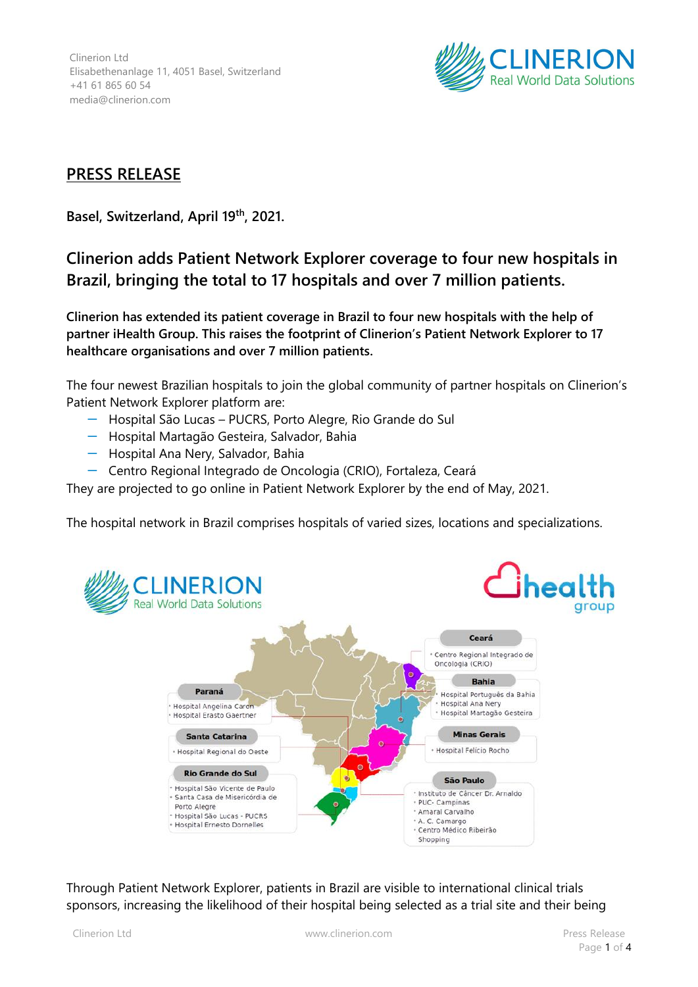Clinerion Ltd Elisabethenanlage 11, 4051 Basel, Switzerland +41 61 865 60 54 media@clinerion.com



## **PRESS RELEASE**

**Basel, Switzerland, April 19th , 2021.**

## **Clinerion adds Patient Network Explorer coverage to four new hospitals in Brazil, bringing the total to 17 hospitals and over 7 million patients.**

**Clinerion has extended its patient coverage in Brazil to four new hospitals with the help of partner iHealth Group. This raises the footprint of Clinerion's Patient Network Explorer to 17 healthcare organisations and over 7 million patients.**

The four newest Brazilian hospitals to join the global community of partner hospitals on Clinerion's Patient Network Explorer platform are:

- ꟷ Hospital São Lucas PUCRS, Porto Alegre, Rio Grande do Sul
- ꟷ Hospital Martagão Gesteira, Salvador, Bahia
- Hospital Ana Nery, Salvador, Bahia
- ꟷ Centro Regional Integrado de Oncologia (CRIO), Fortaleza, Ceará

They are projected to go online in Patient Network Explorer by the end of May, 2021.

The hospital network in Brazil comprises hospitals of varied sizes, locations and specializations.



Through Patient Network Explorer, patients in Brazil are visible to international clinical trials sponsors, increasing the likelihood of their hospital being selected as a trial site and their being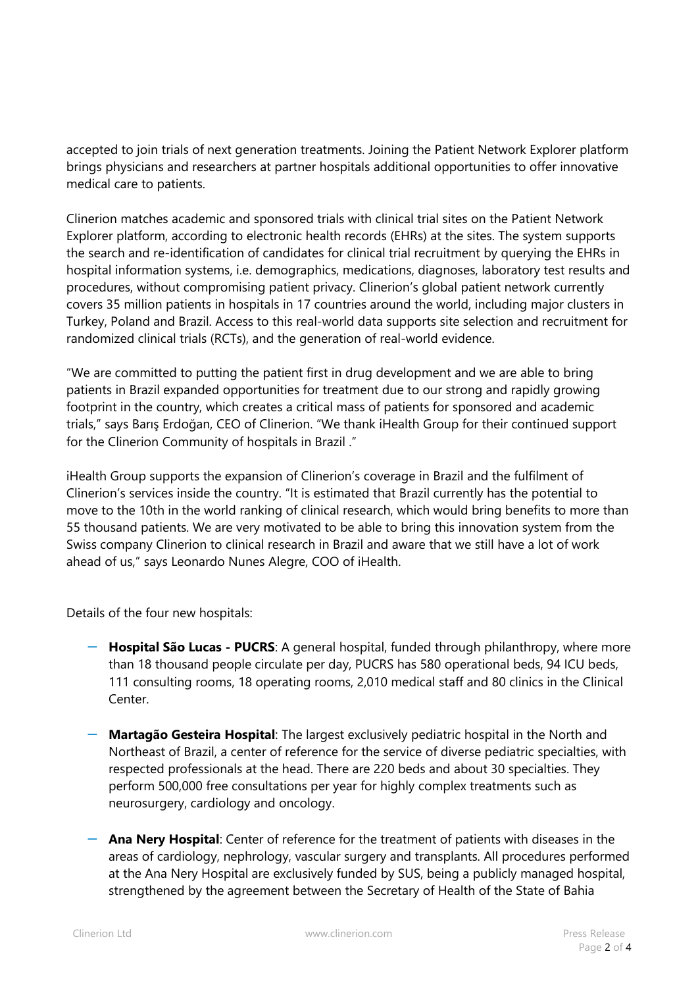accepted to join trials of next generation treatments. Joining the Patient Network Explorer platform brings physicians and researchers at partner hospitals additional opportunities to offer innovative medical care to patients.

Clinerion matches academic and sponsored trials with clinical trial sites on the Patient Network Explorer platform, according to electronic health records (EHRs) at the sites. The system supports the search and re-identification of candidates for clinical trial recruitment by querying the EHRs in hospital information systems, i.e. demographics, medications, diagnoses, laboratory test results and procedures, without compromising patient privacy. Clinerion's global patient network currently covers 35 million patients in hospitals in 17 countries around the world, including major clusters in Turkey, Poland and Brazil. Access to this real-world data supports site selection and recruitment for randomized clinical trials (RCTs), and the generation of real-world evidence.

"We are committed to putting the patient first in drug development and we are able to bring patients in Brazil expanded opportunities for treatment due to our strong and rapidly growing footprint in the country, which creates a critical mass of patients for sponsored and academic trials," says Barış Erdoğan, CEO of Clinerion. "We thank iHealth Group for their continued support for the Clinerion Community of hospitals in Brazil ."

iHealth Group supports the expansion of Clinerion's coverage in Brazil and the fulfilment of Clinerion's services inside the country. "It is estimated that Brazil currently has the potential to move to the 10th in the world ranking of clinical research, which would bring benefits to more than 55 thousand patients. We are very motivated to be able to bring this innovation system from the Swiss company Clinerion to clinical research in Brazil and aware that we still have a lot of work ahead of us," says Leonardo Nunes Alegre, COO of iHealth.

Details of the four new hospitals:

- ꟷ **Hospital São Lucas - PUCRS**: A general hospital, funded through philanthropy, where more than 18 thousand people circulate per day, PUCRS has 580 operational beds, 94 ICU beds, 111 consulting rooms, 18 operating rooms, 2,010 medical staff and 80 clinics in the Clinical Center.
- ꟷ **Martagão Gesteira Hospital**: The largest exclusively pediatric hospital in the North and Northeast of Brazil, a center of reference for the service of diverse pediatric specialties, with respected professionals at the head. There are 220 beds and about 30 specialties. They perform 500,000 free consultations per year for highly complex treatments such as neurosurgery, cardiology and oncology.
- ꟷ **Ana Nery Hospital**: Center of reference for the treatment of patients with diseases in the areas of cardiology, nephrology, vascular surgery and transplants. All procedures performed at the Ana Nery Hospital are exclusively funded by SUS, being a publicly managed hospital, strengthened by the agreement between the Secretary of Health of the State of Bahia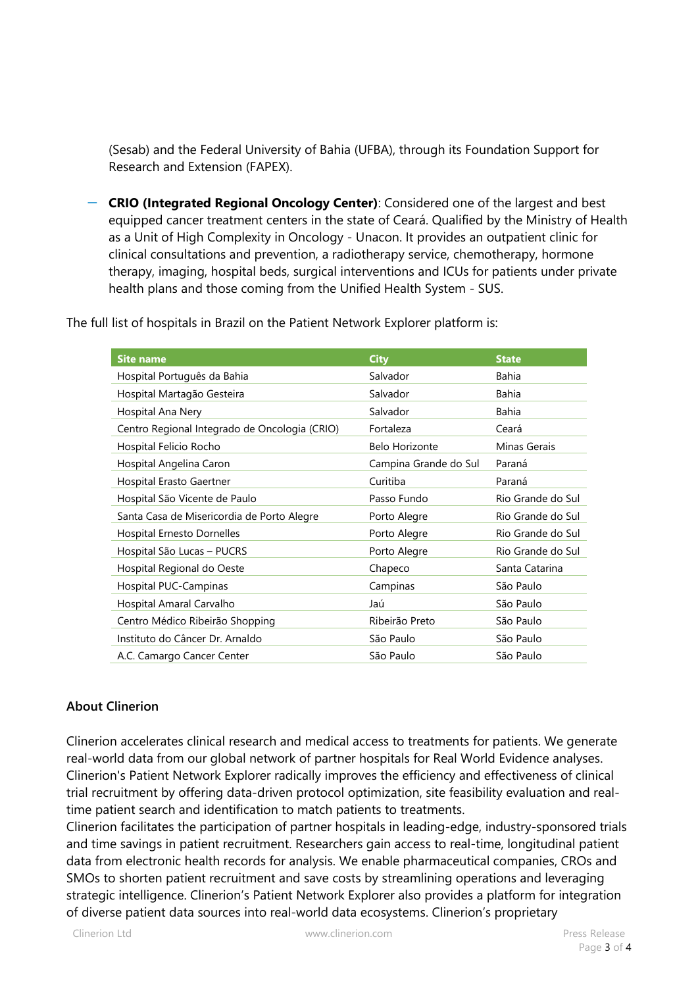(Sesab) and the Federal University of Bahia (UFBA), through its Foundation Support for Research and Extension (FAPEX).

ꟷ **CRIO (Integrated Regional Oncology Center)**: Considered one of the largest and best equipped cancer treatment centers in the state of Ceará. Qualified by the Ministry of Health as a Unit of High Complexity in Oncology - Unacon. It provides an outpatient clinic for clinical consultations and prevention, a radiotherapy service, chemotherapy, hormone therapy, imaging, hospital beds, surgical interventions and ICUs for patients under private health plans and those coming from the Unified Health System - SUS.

The full list of hospitals in Brazil on the Patient Network Explorer platform is:

| <b>Site name</b>                              | <b>City</b>           | <b>State</b>      |
|-----------------------------------------------|-----------------------|-------------------|
| Hospital Português da Bahia                   | Salvador              | Bahia             |
| Hospital Martagão Gesteira                    | Salvador              | Bahia             |
| Hospital Ana Nery                             | Salvador              | <b>Bahia</b>      |
| Centro Regional Integrado de Oncologia (CRIO) | Fortaleza             | Ceará             |
| Hospital Felicio Rocho                        | <b>Belo Horizonte</b> | Minas Gerais      |
| Hospital Angelina Caron                       | Campina Grande do Sul | Paraná            |
| Hospital Erasto Gaertner                      | Curitiba              | Paraná            |
| Hospital São Vicente de Paulo                 | Passo Fundo           | Rio Grande do Sul |
| Santa Casa de Misericordia de Porto Alegre    | Porto Alegre          | Rio Grande do Sul |
| Hospital Ernesto Dornelles                    | Porto Alegre          | Rio Grande do Sul |
| Hospital São Lucas - PUCRS                    | Porto Alegre          | Rio Grande do Sul |
| Hospital Regional do Oeste                    | Chapeco               | Santa Catarina    |
| Hospital PUC-Campinas                         | Campinas              | São Paulo         |
| Hospital Amaral Carvalho                      | Jaú                   | São Paulo         |
| Centro Médico Ribeirão Shopping               | Ribeirão Preto        | São Paulo         |
| Instituto do Câncer Dr. Arnaldo               | São Paulo             | São Paulo         |
| A.C. Camargo Cancer Center                    | São Paulo             | São Paulo         |

## **About Clinerion**

Clinerion accelerates clinical research and medical access to treatments for patients. We generate real-world data from our global network of partner hospitals for Real World Evidence analyses. Clinerion's Patient Network Explorer radically improves the efficiency and effectiveness of clinical trial recruitment by offering data-driven protocol optimization, site feasibility evaluation and realtime patient search and identification to match patients to treatments.

Clinerion facilitates the participation of partner hospitals in leading-edge, industry-sponsored trials and time savings in patient recruitment. Researchers gain access to real-time, longitudinal patient data from electronic health records for analysis. We enable pharmaceutical companies, CROs and SMOs to shorten patient recruitment and save costs by streamlining operations and leveraging strategic intelligence. Clinerion's Patient Network Explorer also provides a platform for integration of diverse patient data sources into real-world data ecosystems. Clinerion's proprietary